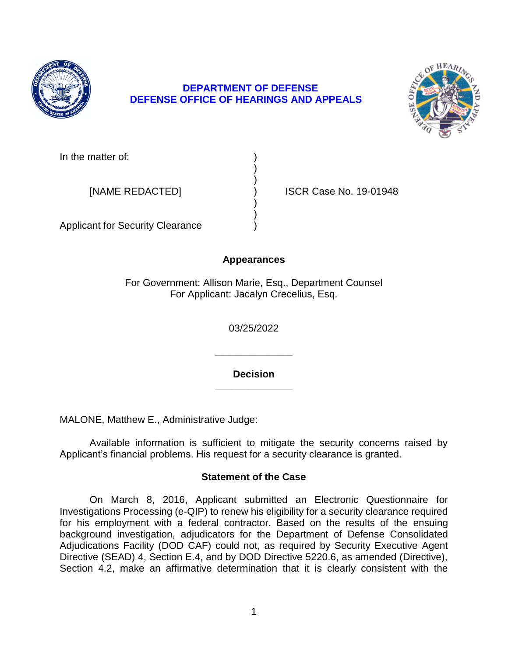

# **DEPARTMENT OF DEFENSE DEFENSE OFFICE OF HEARINGS AND APPEALS**



In the matter of:

[NAME REDACTED] ) ISCR Case No. 19-01948

Applicant for Security Clearance )

# **Appearances**

) )

) )

For Government: Allison Marie, Esq., Department Counsel For Applicant: Jacalyn Crecelius, Esq.

03/25/2022

**\_\_\_\_\_\_\_\_\_\_\_\_\_\_ Decision** 

**\_\_\_\_\_\_\_\_\_\_\_\_\_\_** 

MALONE, Matthew E., Administrative Judge:

 Available information is sufficient to mitigate the security concerns raised by Applicant's financial problems. His request for a security clearance is granted.

# **Statement of the Case**

 On March 8, 2016, Applicant submitted an Electronic Questionnaire for Investigations Processing (e-QIP) to renew his eligibility for a security clearance required for his employment with a federal contractor. Based on the results of the ensuing Adjudications Facility (DOD CAF) could not, as required by Security Executive Agent Directive (SEAD) 4, Section E.4, and by DOD Directive 5220.6, as amended (Directive), Section 4.2, make an affirmative determination that it is clearly consistent with the background investigation, adjudicators for the Department of Defense Consolidated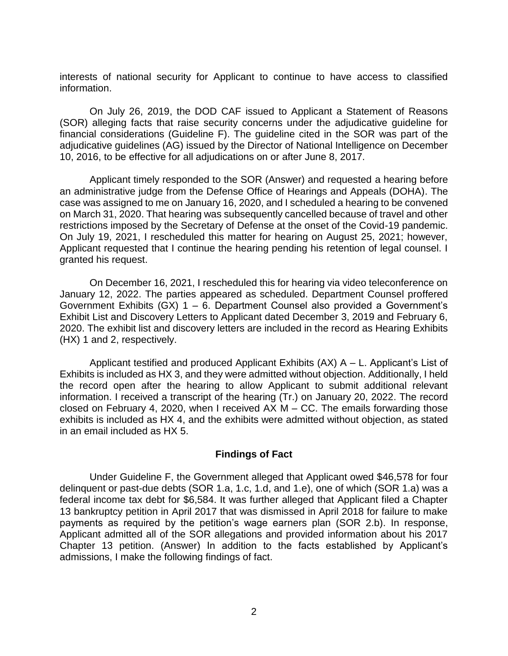interests of national security for Applicant to continue to have access to classified information.

 On July 26, 2019, the DOD CAF issued to Applicant a Statement of Reasons (SOR) alleging facts that raise security concerns under the adjudicative guideline for financial considerations (Guideline F). The guideline cited in the SOR was part of the adjudicative guidelines (AG) issued by the Director of National Intelligence on December 10, 2016, to be effective for all adjudications on or after June 8, 2017.

 Applicant timely responded to the SOR (Answer) and requested a hearing before an administrative judge from the Defense Office of Hearings and Appeals (DOHA). The case was assigned to me on January 16, 2020, and I scheduled a hearing to be convened on March 31, 2020. That hearing was subsequently cancelled because of travel and other restrictions imposed by the Secretary of Defense at the onset of the Covid-19 pandemic. On July 19, 2021, I rescheduled this matter for hearing on August 25, 2021; however, Applicant requested that I continue the hearing pending his retention of legal counsel. I granted his request.

 On December 16, 2021, I rescheduled this for hearing via video teleconference on January 12, 2022. The parties appeared as scheduled. Department Counsel proffered Government Exhibits (GX) 1 – 6. Department Counsel also provided a Government's Exhibit List and Discovery Letters to Applicant dated December 3, 2019 and February 6, 2020. The exhibit list and discovery letters are included in the record as Hearing Exhibits (HX) 1 and 2, respectively.

 Exhibits is included as HX 3, and they were admitted without objection. Additionally, I held the record open after the hearing to allow Applicant to submit additional relevant information. I received a transcript of the hearing (Tr.) on January 20, 2022. The record closed on February 4, 2020, when I received AX M – CC. The emails forwarding those exhibits is included as HX 4, and the exhibits were admitted without objection, as stated in an email included as HX 5. Applicant testified and produced Applicant Exhibits (AX) A – L. Applicant's List of

## **Findings of Fact**

 federal income tax debt for \$6,584. It was further alleged that Applicant filed a Chapter 13 bankruptcy petition in April 2017 that was dismissed in April 2018 for failure to make payments as required by the petition's wage earners plan (SOR 2.b). In response, Applicant admitted all of the SOR allegations and provided information about his 2017 Chapter 13 petition. (Answer) In addition to the facts established by Applicant's Under Guideline F, the Government alleged that Applicant owed \$46,578 for four delinquent or past-due debts (SOR 1.a, 1.c, 1.d, and 1.e), one of which (SOR 1.a) was a admissions, I make the following findings of fact.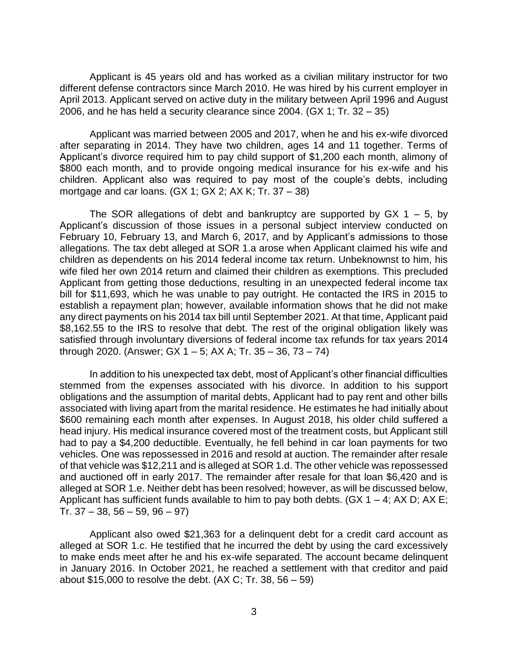Applicant is 45 years old and has worked as a civilian military instructor for two April 2013. Applicant served on active duty in the military between April 1996 and August 2006, and he has held a security clearance since 2004. (GX 1; Tr. 32 – 35) different defense contractors since March 2010. He was hired by his current employer in

 Applicant was married between 2005 and 2017, when he and his ex-wife divorced after separating in 2014. They have two children, ages 14 and 11 together. Terms of Applicant's divorce required him to pay child support of \$1,200 each month, alimony of \$800 each month, and to provide ongoing medical insurance for his ex-wife and his children. Applicant also was required to pay most of the couple's debts, including mortgage and car loans.  $(GX 1; GX 2; AX K; Tr. 37 - 38)$ 

The SOR allegations of debt and bankruptcy are supported by  $GX 1 - 5$ , by Applicant's discussion of those issues in a personal subject interview conducted on February 10, February 13, and March 6, 2017, and by Applicant's admissions to those allegations. The tax debt alleged at SOR 1.a arose when Applicant claimed his wife and children as dependents on his 2014 federal income tax return. Unbeknownst to him, his wife filed her own 2014 return and claimed their children as exemptions. This precluded Applicant from getting those deductions, resulting in an unexpected federal income tax bill for \$11,693, which he was unable to pay outright. He contacted the IRS in 2015 to establish a repayment plan; however, available information shows that he did not make any direct payments on his 2014 tax bill until September 2021. At that time, Applicant paid \$8,162.55 to the IRS to resolve that debt. The rest of the original obligation likely was satisfied through involuntary diversions of federal income tax refunds for tax years 2014 through 2020. (Answer; GX 1 – 5; AX A; Tr. 35 – 36, 73 – 74)

 In addition to his unexpected tax debt, most of Applicant's other financial difficulties stemmed from the expenses associated with his divorce. In addition to his support associated with living apart from the marital residence. He estimates he had initially about \$600 remaining each month after expenses. In August 2018, his older child suffered a head injury. His medical insurance covered most of the treatment costs, but Applicant still had to pay a \$4,200 deductible. Eventually, he fell behind in car loan payments for two vehicles. One was repossessed in 2016 and resold at auction. The remainder after resale of that vehicle was \$12,211 and is alleged at SOR 1.d. The other vehicle was repossessed and auctioned off in early 2017. The remainder after resale for that loan \$6,420 and is alleged at SOR 1.e. Neither debt has been resolved; however, as will be discussed below, obligations and the assumption of marital debts, Applicant had to pay rent and other bills Applicant has sufficient funds available to him to pay both debts. (GX  $1 - 4$ ; AX D; AX E; Tr.  $37 - 38$ ,  $56 - 59$ ,  $96 - 97$ )

 Applicant also owed \$21,363 for a delinquent debt for a credit card account as alleged at SOR 1.c. He testified that he incurred the debt by using the card excessively to make ends meet after he and his ex-wife separated. The account became delinquent in January 2016. In October 2021, he reached a settlement with that creditor and paid about \$15,000 to resolve the debt.  $(AX C; Tr. 38, 56 – 59)$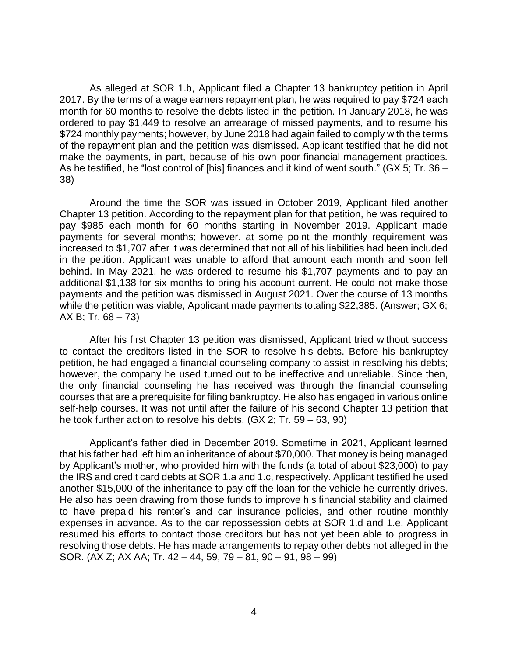As alleged at SOR 1.b, Applicant filed a Chapter 13 bankruptcy petition in April 2017. By the terms of a wage earners repayment plan, he was required to pay \$724 each month for 60 months to resolve the debts listed in the petition. In January 2018, he was ordered to pay \$1,449 to resolve an arrearage of missed payments, and to resume his \$724 monthly payments; however, by June 2018 had again failed to comply with the terms of the repayment plan and the petition was dismissed. Applicant testified that he did not make the payments, in part, because of his own poor financial management practices. As he testified, he "lost control of [his] finances and it kind of went south." (GX 5; Tr. 36 – 38)

 Around the time the SOR was issued in October 2019, Applicant filed another Chapter 13 petition. According to the repayment plan for that petition, he was required to pay \$985 each month for 60 months starting in November 2019. Applicant made payments for several months; however, at some point the monthly requirement was increased to \$1,707 after it was determined that not all of his liabilities had been included in the petition. Applicant was unable to afford that amount each month and soon fell behind. In May 2021, he was ordered to resume his \$1,707 payments and to pay an additional \$1,138 for six months to bring his account current. He could not make those payments and the petition was dismissed in August 2021. Over the course of 13 months while the petition was viable, Applicant made payments totaling \$22,385. (Answer; GX 6;  $AX B$ ; Tr. 68 – 73)

 After his first Chapter 13 petition was dismissed, Applicant tried without success to contact the creditors listed in the SOR to resolve his debts. Before his bankruptcy petition, he had engaged a financial counseling company to assist in resolving his debts; however, the company he used turned out to be ineffective and unreliable. Since then, the only financial counseling he has received was through the financial counseling courses that are a prerequisite for filing bankruptcy. He also has engaged in various online self-help courses. It was not until after the failure of his second Chapter 13 petition that he took further action to resolve his debts. (GX 2; Tr. 59 – 63, 90)

 that his father had left him an inheritance of about \$70,000. That money is being managed by Applicant's mother, who provided him with the funds (a total of about \$23,000) to pay the IRS and credit card debts at SOR 1.a and 1.c, respectively. Applicant testified he used another \$15,000 of the inheritance to pay off the loan for the vehicle he currently drives. to have prepaid his renter's and car insurance policies, and other routine monthly expenses in advance. As to the car repossession debts at SOR 1.d and 1.e, Applicant resumed his efforts to contact those creditors but has not yet been able to progress in resolving those debts. He has made arrangements to repay other debts not alleged in the Applicant's father died in December 2019. Sometime in 2021, Applicant learned He also has been drawing from those funds to improve his financial stability and claimed SOR. (AX Z; AX AA; Tr. 42 – 44, 59, 79 – 81, 90 – 91, 98 – 99)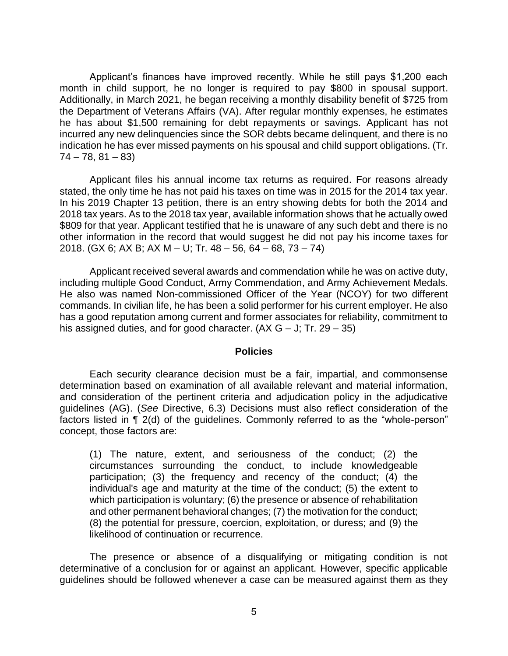Applicant's finances have improved recently. While he still pays \$1,200 each month in child support, he no longer is required to pay \$800 in spousal support. Additionally, in March 2021, he began receiving a monthly disability benefit of \$725 from the Department of Veterans Affairs (VA). After regular monthly expenses, he estimates he has about \$1,500 remaining for debt repayments or savings. Applicant has not incurred any new delinquencies since the SOR debts became delinquent, and there is no indication he has ever missed payments on his spousal and child support obligations. (Tr.  $74 - 78, 81 - 83$ 

 Applicant files his annual income tax returns as required. For reasons already stated, the only time he has not paid his taxes on time was in 2015 for the 2014 tax year. In his 2019 Chapter 13 petition, there is an entry showing debts for both the 2014 and 2018 tax years. As to the 2018 tax year, available information shows that he actually owed \$809 for that year. Applicant testified that he is unaware of any such debt and there is no other information in the record that would suggest he did not pay his income taxes for 2018. (GX 6; AX B; AX M – U; Tr. 48 – 56, 64 – 68, 73 – 74)

 Applicant received several awards and commendation while he was on active duty, He also was named Non-commissioned Officer of the Year (NCOY) for two different commands. In civilian life, he has been a solid performer for his current employer. He also has a good reputation among current and former associates for reliability, commitment to including multiple Good Conduct, Army Commendation, and Army Achievement Medals. his assigned duties, and for good character.  $(AX G - J; Tr. 29 - 35)$ 

#### **Policies**

 Each security clearance decision must be a fair, impartial, and commonsense determination based on examination of all available relevant and material information, and consideration of the pertinent criteria and adjudication policy in the adjudicative guidelines (AG). (*See* Directive, 6.3) Decisions must also reflect consideration of the factors listed in ¶ 2(d) of the guidelines. Commonly referred to as the "whole-person" concept, those factors are:

 (1) The nature, extent, and seriousness of the conduct; (2) the circumstances surrounding the conduct, to include knowledgeable participation; (3) the frequency and recency of the conduct; (4) the individual's age and maturity at the time of the conduct; (5) the extent to which participation is voluntary; (6) the presence or absence of rehabilitation and other permanent behavioral changes; (7) the motivation for the conduct; (8) the potential for pressure, coercion, exploitation, or duress; and (9) the likelihood of continuation or recurrence.

 The presence or absence of a disqualifying or mitigating condition is not determinative of a conclusion for or against an applicant. However, specific applicable guidelines should be followed whenever a case can be measured against them as they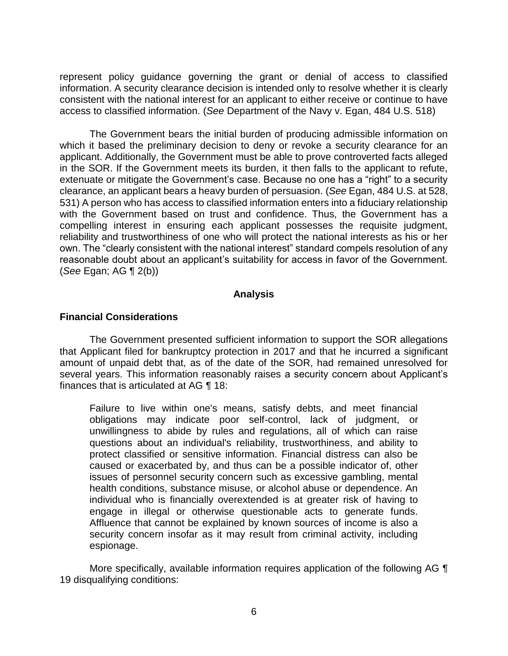represent policy guidance governing the grant or denial of access to classified information. A security clearance decision is intended only to resolve whether it is clearly consistent with the national interest for an applicant to either receive or continue to have access to classified information. (*See* Department of the Navy v. Egan, 484 U.S. 518)

The Government bears the initial burden of producing admissible information on which it based the preliminary decision to deny or revoke a security clearance for an applicant. Additionally, the Government must be able to prove controverted facts alleged in the SOR. If the Government meets its burden, it then falls to the applicant to refute, extenuate or mitigate the Government's case. Because no one has a "right" to a security clearance, an applicant bears a heavy burden of persuasion. (*See* Egan, 484 U.S. at 528, 531) A person who has access to classified information enters into a fiduciary relationship with the Government based on trust and confidence. Thus, the Government has a compelling interest in ensuring each applicant possesses the requisite judgment, reliability and trustworthiness of one who will protect the national interests as his or her own. The "clearly consistent with the national interest" standard compels resolution of any reasonable doubt about an applicant's suitability for access in favor of the Government. (*See* Egan; AG ¶ 2(b))

### **Analysis**

### **Financial Considerations**

 The Government presented sufficient information to support the SOR allegations that Applicant filed for bankruptcy protection in 2017 and that he incurred a significant amount of unpaid debt that, as of the date of the SOR, had remained unresolved for several years. This information reasonably raises a security concern about Applicant's finances that is articulated at AG ¶ 18:

Failure to live within one's means, satisfy debts, and meet financial obligations may indicate poor self-control, lack of judgment, or unwillingness to abide by rules and regulations, all of which can raise questions about an individual's reliability, trustworthiness, and ability to protect classified or sensitive information. Financial distress can also be caused or exacerbated by, and thus can be a possible indicator of, other issues of personnel security concern such as excessive gambling, mental health conditions, substance misuse, or alcohol abuse or dependence. An individual who is financially overextended is at greater risk of having to engage in illegal or otherwise questionable acts to generate funds. Affluence that cannot be explained by known sources of income is also a security concern insofar as it may result from criminal activity, including espionage.

More specifically, available information requires application of the following AG  $\P$ 19 disqualifying conditions: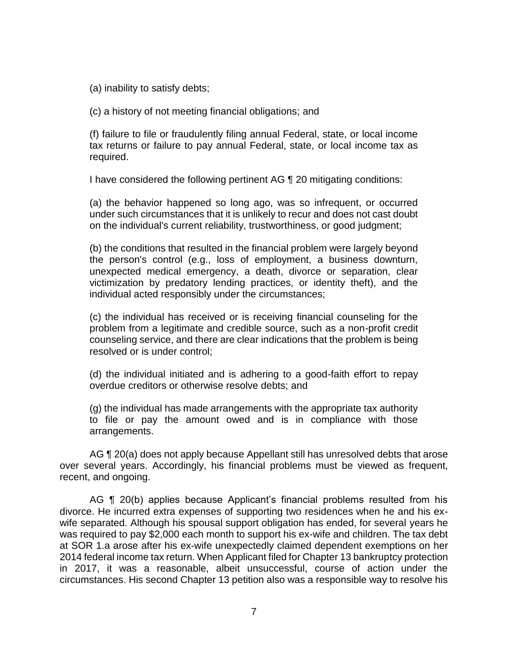(a) inability to satisfy debts;

(c) a history of not meeting financial obligations; and

(f) failure to file or fraudulently filing annual Federal, state, or local income tax returns or failure to pay annual Federal, state, or local income tax as required.

I have considered the following pertinent AG ¶ 20 mitigating conditions:

(a) the behavior happened so long ago, was so infrequent, or occurred under such circumstances that it is unlikely to recur and does not cast doubt on the individual's current reliability, trustworthiness, or good judgment;

(b) the conditions that resulted in the financial problem were largely beyond the person's control (e.g., loss of employment, a business downturn, unexpected medical emergency, a death, divorce or separation, clear victimization by predatory lending practices, or identity theft), and the individual acted responsibly under the circumstances;

(c) the individual has received or is receiving financial counseling for the problem from a legitimate and credible source, such as a non-profit credit counseling service, and there are clear indications that the problem is being resolved or is under control;

(d) the individual initiated and is adhering to a good-faith effort to repay overdue creditors or otherwise resolve debts; and

(g) the individual has made arrangements with the appropriate tax authority to file or pay the amount owed and is in compliance with those arrangements.

AG ¶ 20(a) does not apply because Appellant still has unresolved debts that arose over several years. Accordingly, his financial problems must be viewed as frequent, recent, and ongoing.

AG ¶ 20(b) applies because Applicant's financial problems resulted from his divorce. He incurred extra expenses of supporting two residences when he and his ex- wife separated. Although his spousal support obligation has ended, for several years he was required to pay \$2,000 each month to support his ex-wife and children. The tax debt at SOR 1.a arose after his ex-wife unexpectedly claimed dependent exemptions on her 2014 federal income tax return. When Applicant filed for Chapter 13 bankruptcy protection in 2017, it was a reasonable, albeit unsuccessful, course of action under the circumstances. His second Chapter 13 petition also was a responsible way to resolve his